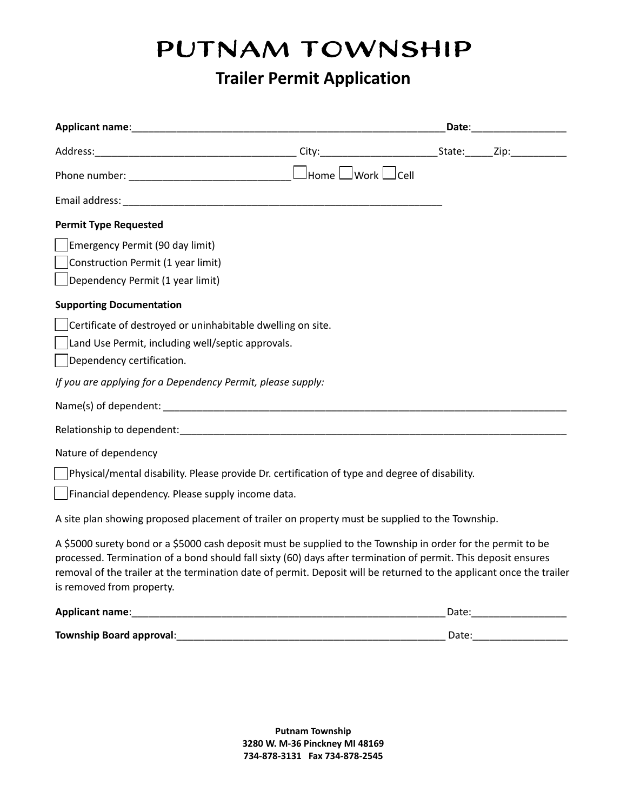# PUTNAM TOWNSHIP

## **Trailer Permit Application**

| Email address: North and September 2014                                                                                                                                                                                                                                                                                                                                             |       |                                   |  |
|-------------------------------------------------------------------------------------------------------------------------------------------------------------------------------------------------------------------------------------------------------------------------------------------------------------------------------------------------------------------------------------|-------|-----------------------------------|--|
| <b>Permit Type Requested</b>                                                                                                                                                                                                                                                                                                                                                        |       |                                   |  |
| Emergency Permit (90 day limit)                                                                                                                                                                                                                                                                                                                                                     |       |                                   |  |
| Construction Permit (1 year limit)                                                                                                                                                                                                                                                                                                                                                  |       |                                   |  |
| Dependency Permit (1 year limit)                                                                                                                                                                                                                                                                                                                                                    |       |                                   |  |
| <b>Supporting Documentation</b>                                                                                                                                                                                                                                                                                                                                                     |       |                                   |  |
| Certificate of destroyed or uninhabitable dwelling on site.                                                                                                                                                                                                                                                                                                                         |       |                                   |  |
| Land Use Permit, including well/septic approvals.                                                                                                                                                                                                                                                                                                                                   |       |                                   |  |
| Dependency certification.                                                                                                                                                                                                                                                                                                                                                           |       |                                   |  |
| If you are applying for a Dependency Permit, please supply:                                                                                                                                                                                                                                                                                                                         |       |                                   |  |
|                                                                                                                                                                                                                                                                                                                                                                                     |       |                                   |  |
|                                                                                                                                                                                                                                                                                                                                                                                     |       |                                   |  |
| Nature of dependency                                                                                                                                                                                                                                                                                                                                                                |       |                                   |  |
| Physical/mental disability. Please provide Dr. certification of type and degree of disability.                                                                                                                                                                                                                                                                                      |       |                                   |  |
| Financial dependency. Please supply income data.                                                                                                                                                                                                                                                                                                                                    |       |                                   |  |
| A site plan showing proposed placement of trailer on property must be supplied to the Township.                                                                                                                                                                                                                                                                                     |       |                                   |  |
| A \$5000 surety bond or a \$5000 cash deposit must be supplied to the Township in order for the permit to be<br>processed. Termination of a bond should fall sixty (60) days after termination of permit. This deposit ensures<br>removal of the trailer at the termination date of permit. Deposit will be returned to the applicant once the trailer<br>is removed from property. |       |                                   |  |
|                                                                                                                                                                                                                                                                                                                                                                                     |       | Date: <u>____________________</u> |  |
| Township Board approval:                                                                                                                                                                                                                                                                                                                                                            | Date: |                                   |  |

 **Putnam Township 3280 W. M-36 Pinckney MI 48169 734-878-3131 Fax 734-878-2545**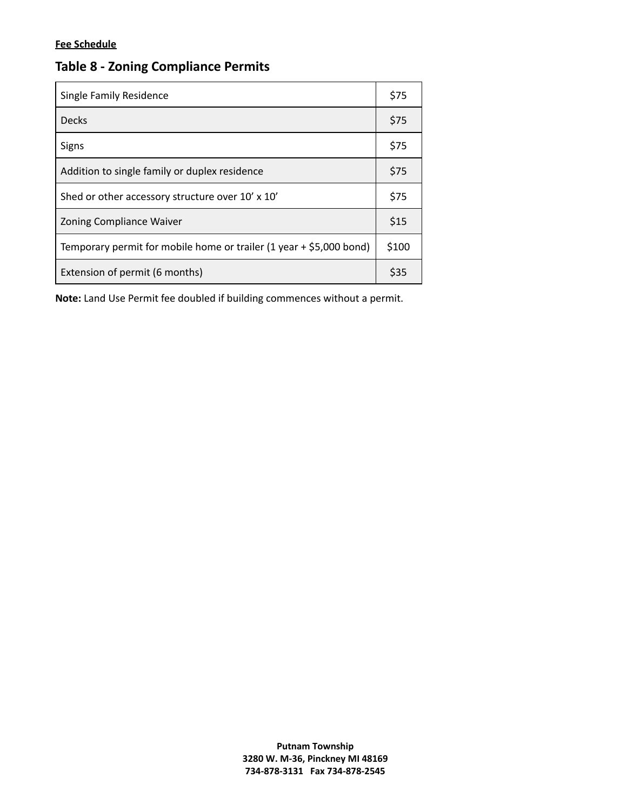#### **Fee Schedule**

| Single Family Residence                                             | \$75 |
|---------------------------------------------------------------------|------|
| <b>Decks</b>                                                        | \$75 |
| <b>Signs</b>                                                        | \$75 |
| Addition to single family or duplex residence                       |      |
| Shed or other accessory structure over 10' x 10'                    |      |
| Zoning Compliance Waiver                                            |      |
| Temporary permit for mobile home or trailer (1 year + \$5,000 bond) |      |
| Extension of permit (6 months)                                      |      |

### **Table 8 - Zoning Compliance Permits**

 **Note:** Land Use Permit fee doubled if building commences without a permit.

**Putnam Township 3280 W. M-36, Pinckney MI 48169 734-878-3131 Fax 734-878-2545**